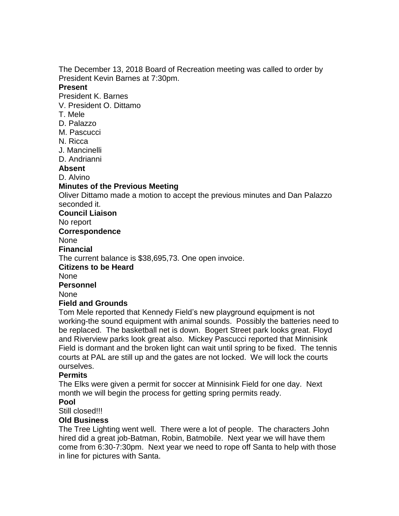The December 13, 2018 Board of Recreation meeting was called to order by President Kevin Barnes at 7:30pm.

#### **Present**

President K. Barnes

- V. President O. Dittamo
- T. Mele
- D. Palazzo
- M. Pascucci
- N. Ricca
- J. Mancinelli
- D. Andrianni

### **Absent**

D. Alvino

# **Minutes of the Previous Meeting**

Oliver Dittamo made a motion to accept the previous minutes and Dan Palazzo seconded it.

**Council Liaison**

No report

### **Correspondence**

**None** 

#### **Financial**

The current balance is \$38,695,73. One open invoice.

#### **Citizens to be Heard**

None

#### **Personnel**

None

# **Field and Grounds**

Tom Mele reported that Kennedy Field's new playground equipment is not working-the sound equipment with animal sounds. Possibly the batteries need to be replaced. The basketball net is down. Bogert Street park looks great. Floyd and Riverview parks look great also. Mickey Pascucci reported that Minnisink Field is dormant and the broken light can wait until spring to be fixed. The tennis courts at PAL are still up and the gates are not locked. We will lock the courts ourselves.

# **Permits**

The Elks were given a permit for soccer at Minnisink Field for one day. Next month we will begin the process for getting spring permits ready.

# **Pool**

Still closed!!!

# **Old Business**

The Tree Lighting went well. There were a lot of people. The characters John hired did a great job-Batman, Robin, Batmobile. Next year we will have them come from 6:30-7:30pm. Next year we need to rope off Santa to help with those in line for pictures with Santa.